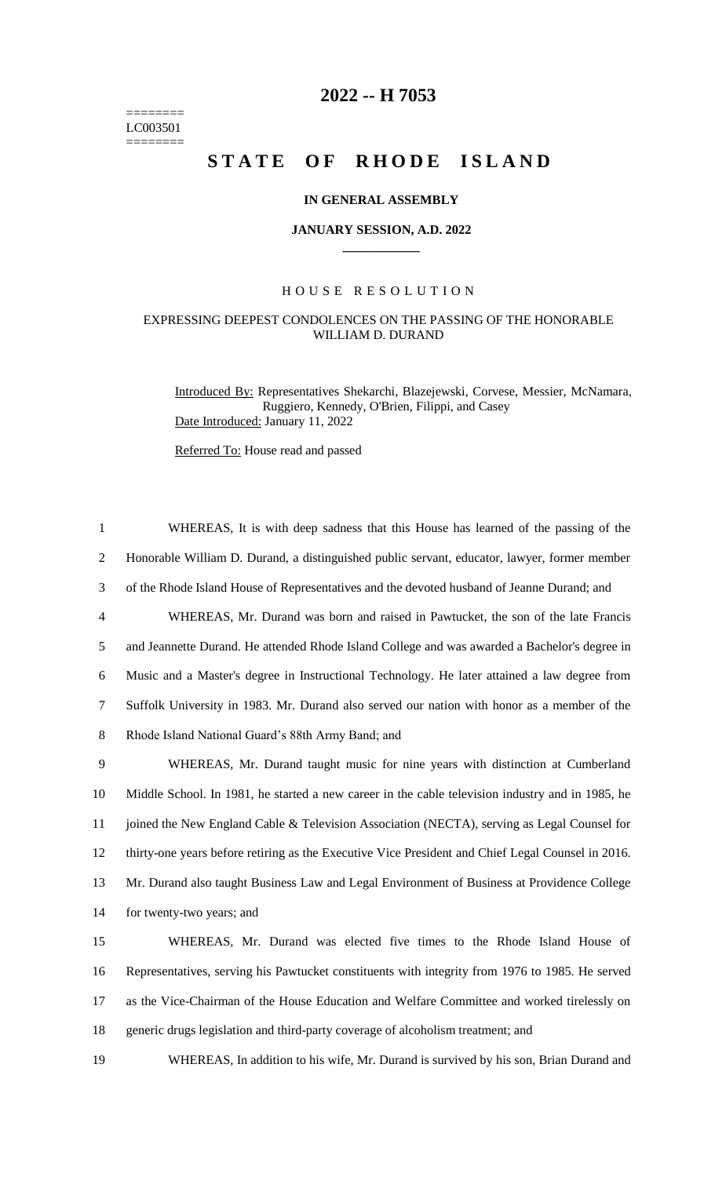======== LC003501 ========

# **2022 -- H 7053**

# **STATE OF RHODE ISLAND**

### **IN GENERAL ASSEMBLY**

#### **JANUARY SESSION, A.D. 2022 \_\_\_\_\_\_\_\_\_\_\_\_**

## H O U S E R E S O L U T I O N

# EXPRESSING DEEPEST CONDOLENCES ON THE PASSING OF THE HONORABLE WILLIAM D. DURAND

Introduced By: Representatives Shekarchi, Blazejewski, Corvese, Messier, McNamara, Ruggiero, Kennedy, O'Brien, Filippi, and Casey Date Introduced: January 11, 2022

Referred To: House read and passed

 WHEREAS, It is with deep sadness that this House has learned of the passing of the Honorable William D. Durand, a distinguished public servant, educator, lawyer, former member of the Rhode Island House of Representatives and the devoted husband of Jeanne Durand; and WHEREAS, Mr. Durand was born and raised in Pawtucket, the son of the late Francis and Jeannette Durand. He attended Rhode Island College and was awarded a Bachelor's degree in Music and a Master's degree in Instructional Technology. He later attained a law degree from Suffolk University in 1983. Mr. Durand also served our nation with honor as a member of the Rhode Island National Guard's 88th Army Band; and WHEREAS, Mr. Durand taught music for nine years with distinction at Cumberland Middle School. In 1981, he started a new career in the cable television industry and in 1985, he 11 joined the New England Cable & Television Association (NECTA), serving as Legal Counsel for thirty-one years before retiring as the Executive Vice President and Chief Legal Counsel in 2016. Mr. Durand also taught Business Law and Legal Environment of Business at Providence College for twenty-two years; and WHEREAS, Mr. Durand was elected five times to the Rhode Island House of Representatives, serving his Pawtucket constituents with integrity from 1976 to 1985. He served as the Vice-Chairman of the House Education and Welfare Committee and worked tirelessly on

18 generic drugs legislation and third-party coverage of alcoholism treatment; and

19 WHEREAS, In addition to his wife, Mr. Durand is survived by his son, Brian Durand and